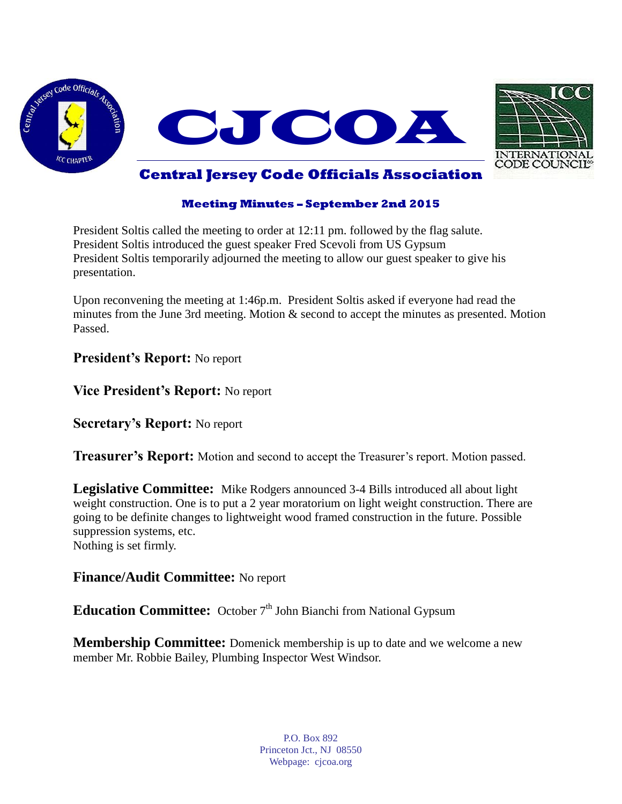



### **Meeting Minutes – September 2nd 2015**

President Soltis called the meeting to order at 12:11 pm. followed by the flag salute. President Soltis introduced the guest speaker Fred Scevoli from US Gypsum President Soltis temporarily adjourned the meeting to allow our guest speaker to give his presentation.

Upon reconvening the meeting at 1:46p.m. President Soltis asked if everyone had read the minutes from the June 3rd meeting. Motion & second to accept the minutes as presented. Motion Passed.

### **President's Report:** No report

**Vice President's Report:** No report

**Secretary's Report:** No report

**Treasurer's Report:** Motion and second to accept the Treasurer's report. Motion passed.

**Legislative Committee:** Mike Rodgers announced 3-4 Bills introduced all about light weight construction. One is to put a 2 year moratorium on light weight construction. There are going to be definite changes to lightweight wood framed construction in the future. Possible suppression systems, etc. Nothing is set firmly.

# **Finance/Audit Committee:** No report

**Education Committee:** October 7<sup>th</sup> John Bianchi from National Gypsum

**Membership Committee:** Domenick membership is up to date and we welcome a new member Mr. Robbie Bailey, Plumbing Inspector West Windsor.

> P.O. Box 892 Princeton Jct., NJ 08550 Webpage: cjcoa.org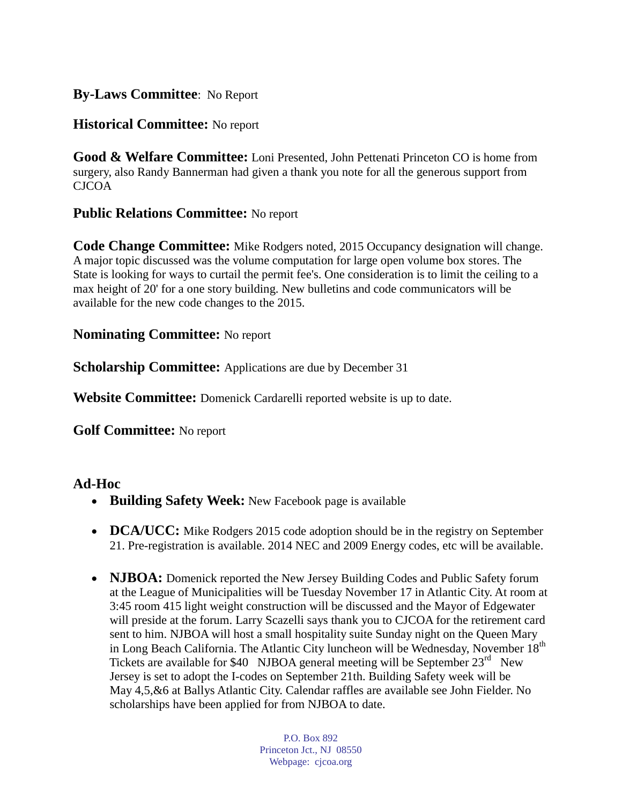# **By-Laws Committee**: No Report

# **Historical Committee:** No report

**Good & Welfare Committee:** Loni Presented, John Pettenati Princeton CO is home from surgery, also Randy Bannerman had given a thank you note for all the generous support from CJCOA

# **Public Relations Committee:** No report

**Code Change Committee:** Mike Rodgers noted, 2015 Occupancy designation will change. A major topic discussed was the volume computation for large open volume box stores. The State is looking for ways to curtail the permit fee's. One consideration is to limit the ceiling to a max height of 20' for a one story building. New bulletins and code communicators will be available for the new code changes to the 2015.

# **Nominating Committee:** No report

**Scholarship Committee:** Applications are due by December 31

**Website Committee:** Domenick Cardarelli reported website is up to date.

**Golf Committee:** No report

# **Ad-Hoc**

- **Building Safety Week:** New Facebook page is available
- **DCA/UCC:** Mike Rodgers 2015 code adoption should be in the registry on September 21. Pre-registration is available. 2014 NEC and 2009 Energy codes, etc will be available.
- **NJBOA:** Domenick reported the New Jersey Building Codes and Public Safety forum at the League of Municipalities will be Tuesday November 17 in Atlantic City. At room at 3:45 room 415 light weight construction will be discussed and the Mayor of Edgewater will preside at the forum. Larry Scazelli says thank you to CJCOA for the retirement card sent to him. NJBOA will host a small hospitality suite Sunday night on the Queen Mary in Long Beach California. The Atlantic City luncheon will be Wednesday, November 18<sup>th</sup> Tickets are available for \$40 NJBOA general meeting will be September 23<sup>rd</sup> New Jersey is set to adopt the I-codes on September 21th. Building Safety week will be May 4,5,&6 at Ballys Atlantic City. Calendar raffles are available see John Fielder. No scholarships have been applied for from NJBOA to date.

P.O. Box 892 Princeton Jct., NJ 08550 Webpage: cjcoa.org